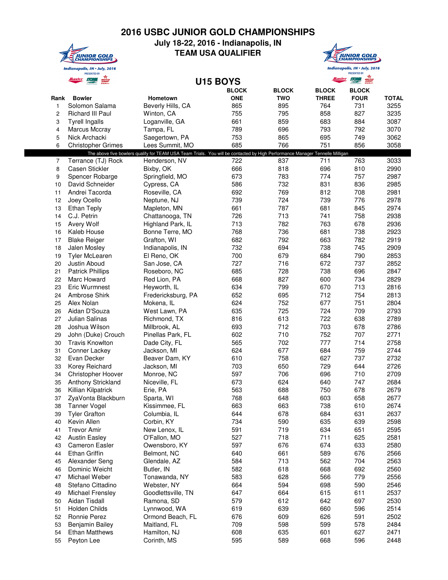## **2016 USBC JUNIOR GOLD CHAMPIONSHIPS**



## **July 18-22, 2016 - Indianapolis, IN TEAM USA QUALIFIER**



Indianapolis, IN . July, 2016 *is, IN* • *July, 2*<br>PRESENTED BY<br>**STORES** *ROOM* 

|                | alaster                   |                                                                                                                              | <b>U15 BOYS</b> |              | alaster      |              |              |
|----------------|---------------------------|------------------------------------------------------------------------------------------------------------------------------|-----------------|--------------|--------------|--------------|--------------|
|                |                           |                                                                                                                              | <b>BLOCK</b>    | <b>BLOCK</b> | <b>BLOCK</b> | <b>BLOCK</b> |              |
| Rank           | <b>Bowler</b>             | Hometown                                                                                                                     | <b>ONE</b>      | <b>TWO</b>   | <b>THREE</b> | <b>FOUR</b>  | <b>TOTAL</b> |
| 1              | Solomon Salama            | Beverly Hills, CA                                                                                                            | 865             | 895          | 764          | 731          | 3255         |
| $\overline{c}$ | Richard III Paul          | Winton, CA                                                                                                                   | 755             | 795          | 858          | 827          | 3235         |
| 3              | <b>Tyrell Ingalls</b>     | Loganville, GA                                                                                                               | 661             | 859          | 683          | 884          | 3087         |
|                |                           |                                                                                                                              | 789             | 696          | 793          | 792          | 3070         |
| 4              | Marcus Mccray             | Tampa, FL                                                                                                                    |                 |              |              |              |              |
| 5              | Nick Archacki             | Saegertown, PA                                                                                                               | 753             | 865          | 695          | 749          | 3062         |
| 6              | <b>Christopher Grimes</b> | Lees Summit, MO                                                                                                              | 685             | 766          | 751          | 856          | 3058         |
|                |                           | The above five bowlers qualify for TEAM USA Team Trials. You will be contacted by High Performance Manager Tennelle Milligan |                 |              |              |              |              |
| 7              | Terrance (TJ) Rock        | Henderson, NV                                                                                                                | 722             | 837          | 711          | 763          | 3033         |
| 8              | Casen Stickler            | Bixby, OK                                                                                                                    | 666             | 818          | 696          | 810          | 2990         |
| 9              | Spencer Robarge           | Springfield, MO                                                                                                              | 673             | 783          | 774          | 757          | 2987         |
| 10             | David Schneider           | Cypress, CA                                                                                                                  | 586             | 732          | 831          | 836          | 2985         |
| 11             | Andrei Tacorda            | Roseville, CA                                                                                                                | 692             | 769          | 812          | 708          | 2981         |
| 12             | Joey Ocello               | Neptune, NJ                                                                                                                  | 739             | 724          | 739          | 776          | 2978         |
| 13             | <b>Ethan Teply</b>        | Mapleton, MN                                                                                                                 | 661             | 787          | 681          | 845          | 2974         |
| 14             | C.J. Petrin               | Chattanooga, TN                                                                                                              | 726             | 713          | 741          | 758          | 2938         |
| 15             | Avery Wolf                | Highland Park, IL                                                                                                            | 713             | 782          | 763          | 678          | 2936         |
| 16             | Kaleb House               | Bonne Terre, MO                                                                                                              | 768             | 736          | 681          | 738          | 2923         |
| 17             | <b>Blake Reiger</b>       | Grafton, WI                                                                                                                  | 682             | 792          | 663          | 782          | 2919         |
| 18             | Jalen Mosley              | Indianapolis, IN                                                                                                             | 732             | 694          | 738          | 745          | 2909         |
| 19             | <b>Tyler McLearen</b>     | El Reno, OK                                                                                                                  | 700             | 679          | 684          | 790          | 2853         |
|                |                           |                                                                                                                              | 727             | 716          | 672          | 737          | 2852         |
| 20             | Justin Aboud              | San Jose, CA                                                                                                                 |                 |              |              |              |              |
| 21             | <b>Patrick Phillips</b>   | Roseboro, NC                                                                                                                 | 685             | 728          | 738          | 696          | 2847         |
| 22             | Marc Howard               | Red Lion, PA                                                                                                                 | 668             | 827          | 600          | 734          | 2829         |
| 23             | Eric Wurmnest             | Heyworth, IL                                                                                                                 | 634             | 799          | 670          | 713          | 2816         |
| 24             | Ambrose Shirk             | Fredericksburg, PA                                                                                                           | 652             | 695          | 712          | 754          | 2813         |
| 25             | Alex Nolan                | Mokena, IL                                                                                                                   | 624             | 752          | 677          | 751          | 2804         |
| 26             | Aidan D'Souza             | West Lawn, PA                                                                                                                | 635             | 725          | 724          | 709          | 2793         |
| 27             | Julian Salinas            | Richmond, TX                                                                                                                 | 816             | 613          | 722          | 638          | 2789         |
| 28             | Joshua Wilson             | Millbrook, AL                                                                                                                | 693             | 712          | 703          | 678          | 2786         |
| 29             | John (Duke) Crouch        | Pinellas Park, FL                                                                                                            | 602             | 710          | 752          | 707          | 2771         |
| 30             | <b>Travis Knowlton</b>    | Dade City, FL                                                                                                                | 565             | 702          | 777          | 714          | 2758         |
| 31             | Conner Lackey             | Jackson, MI                                                                                                                  | 624             | 677          | 684          | 759          | 2744         |
| 32             | Evan Decker               | Beaver Dam, KY                                                                                                               | 610             | 758          | 627          | 737          | 2732         |
| 33             | Korey Reichard            | Jackson, MI                                                                                                                  | 703             | 650          | 729          | 644          | 2726         |
| 34             | Christopher Hoover        | Monroe, NC                                                                                                                   | 597             | 706          | 696          | 710          | 2709         |
| 35             | Anthony Strickland        | Niceville, FL                                                                                                                | 673             | 624          | 640          | 747          | 2684         |
| 36             | Killian Kilpatrick        |                                                                                                                              | 563             | 688          | 750          | 678          | 2679         |
|                |                           | Erie, PA                                                                                                                     |                 |              |              |              |              |
| 37             | ZyaVonta Blackburn        | Sparta, WI                                                                                                                   | 768             | 648          | 603          | 658          | 2677         |
| 38             | Tanner Vogel              | Kissimmee, FL                                                                                                                | 663             | 663          | 738          | 610          | 2674         |
| 39             | <b>Tyler Grafton</b>      | Columbia, IL                                                                                                                 | 644             | 678          | 684          | 631          | 2637         |
| 40             | Kevin Allen               | Corbin, KY                                                                                                                   | 734             | 590          | 635          | 639          | 2598         |
| 41             | <b>Trevor Amir</b>        | New Lenox, IL                                                                                                                | 591             | 719          | 634          | 651          | 2595         |
| 42             | <b>Austin Easley</b>      | O'Fallon, MO                                                                                                                 | 527             | 718          | 711          | 625          | 2581         |
| 43             | <b>Cameron Easler</b>     | Owensboro, KY                                                                                                                | 597             | 676          | 674          | 633          | 2580         |
| 44             | Ethan Griffin             | Belmont, NC                                                                                                                  | 640             | 661          | 589          | 676          | 2566         |
| 45             | Alexander Seng            | Glendale, AZ                                                                                                                 | 584             | 713          | 562          | 704          | 2563         |
| 46             | Dominic Weicht            | Butler, IN                                                                                                                   | 582             | 618          | 668          | 692          | 2560         |
| 47             | Michael Weber             | Tonawanda, NY                                                                                                                | 583             | 628          | 566          | 779          | 2556         |
| 48             | Stefano Cittadino         | Webster, NY                                                                                                                  | 664             | 594          | 698          | 590          | 2546         |
| 49             | <b>Michael Frensley</b>   | Goodlettsville, TN                                                                                                           | 647             | 664          | 615          | 611          | 2537         |
| 50             | Aidan Tisdall             | Ramona, SD                                                                                                                   | 579             | 612          | 642          | 697          | 2530         |
| 51             | Holden Childs             | Lynnwood, WA                                                                                                                 | 619             | 639          | 660          | 596          | 2514         |
|                |                           |                                                                                                                              |                 |              | 626          | 591          |              |
| 52             | Ronnie Perez              | Ormond Beach, FL                                                                                                             | 676             | 609          |              |              | 2502         |
| 53             | Benjamin Bailey           | Maitland, FL                                                                                                                 | 709             | 598          | 599          | 578          | 2484         |
| 54             | <b>Ethan Matthews</b>     | Hamilton, NJ                                                                                                                 | 608             | 635          | 601          | 627          | 2471         |
| 55             | Peyton Lee                | Corinth, MS                                                                                                                  | 595             | 589          | 668          | 596          | 2448         |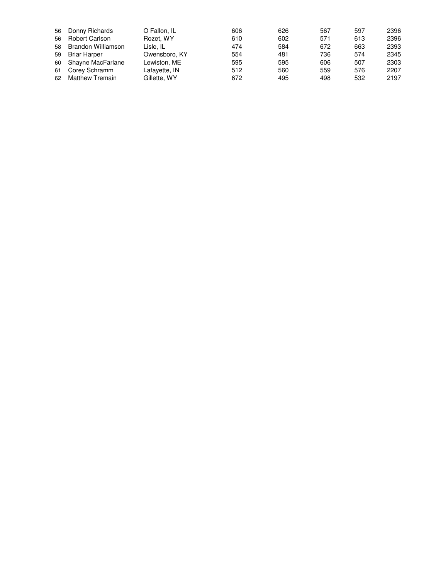| 56 | Donny Richards         | O Fallon, IL  | 606 | 626 | 567 | 597 | 2396 |
|----|------------------------|---------------|-----|-----|-----|-----|------|
| 56 | Robert Carlson         | Rozet, WY     | 610 | 602 | 571 | 613 | 2396 |
|    | 58 Brandon Williamson  | Lisle. IL     | 474 | 584 | 672 | 663 | 2393 |
| 59 | Briar Harper           | Owensboro, KY | 554 | 481 | 736 | 574 | 2345 |
|    | 60 Shayne MacFarlane   | Lewiston, ME  | 595 | 595 | 606 | 507 | 2303 |
| 61 | Corey Schramm          | Lafayette, IN | 512 | 560 | 559 | 576 | 2207 |
| 62 | <b>Matthew Tremain</b> | Gillette, WY  | 672 | 495 | 498 | 532 | 2197 |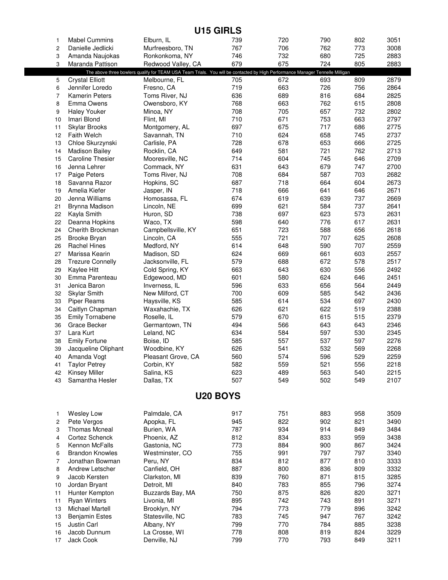| 1        | <b>Mabel Cummins</b>               | Elburn, IL                                                                                                                    | 739        | 720        | 790        | 802        | 3051         |
|----------|------------------------------------|-------------------------------------------------------------------------------------------------------------------------------|------------|------------|------------|------------|--------------|
| 2        | Danielle Jedlicki                  | Murfreesboro, TN                                                                                                              | 767        | 706        | 762        | 773        | 3008         |
| 3        | Amanda Naujokas                    | Ronkonkoma, NY                                                                                                                | 746        | 732        | 680        | 725        | 2883         |
| 3        | Maranda Pattison                   | Redwood Valley, CA                                                                                                            | 679        | 675        | 724        | 805        | 2883         |
|          |                                    | The above three bowlers qualify for TEAM USA Team Trials. You will be contacted by High Performance Manager Tennelle Milligan |            |            |            |            |              |
| 5        | <b>Crystal Elliott</b>             | Melbourne, FL                                                                                                                 | 705        | 672        | 693        | 809        | 2879         |
| 6        | Jennifer Loredo                    | Fresno, CA                                                                                                                    | 719        | 663        | 726        | 756        | 2864         |
| 7        | <b>Kamerin Peters</b>              | Toms River, NJ                                                                                                                | 636        | 689        | 816        | 684        | 2825         |
| 8        | Emma Owens                         | Owensboro, KY                                                                                                                 | 768        | 663        | 762        | 615        | 2808         |
| 9        | <b>Haley Youker</b>                | Minoa, NY                                                                                                                     | 708        | 705        | 657        | 732        | 2802         |
| 10       | Imari Blond                        | Flint, MI                                                                                                                     | 710        | 671        | 753        | 663        | 2797         |
| 11       | Skylar Brooks                      | Montgomery, AL                                                                                                                | 697        | 675        | 717        | 686        | 2775         |
| 12       | <b>Faith Welch</b>                 | Savannah, TN                                                                                                                  | 710        | 624        | 658        | 745        | 2737         |
| 13       | Chloe Skurzynski                   | Carlisle, PA                                                                                                                  | 728        | 678        | 653        | 666        | 2725         |
| 14       | <b>Madison Bailey</b>              | Rocklin, CA                                                                                                                   | 649        | 581        | 721        | 762        | 2713         |
| 15       | <b>Caroline Thesier</b>            | Mooresville, NC                                                                                                               | 714        | 604        | 745        | 646        | 2709         |
| 16<br>17 | Jenna Lehrer<br>Paige Peters       | Commack, NY<br>Toms River, NJ                                                                                                 | 631<br>708 | 643<br>684 | 679<br>587 | 747<br>703 | 2700<br>2682 |
| 18       | Savanna Razor                      | Hopkins, SC                                                                                                                   | 687        | 718        | 664        | 604        | 2673         |
| 19       | Amelia Kiefer                      | Jasper, IN                                                                                                                    | 718        | 666        | 641        | 646        | 2671         |
| 20       | Jenna Williams                     | Homosassa, FL                                                                                                                 | 674        | 619        | 639        | 737        | 2669         |
| 21       | Brynna Madison                     | Lincoln, NE                                                                                                                   | 699        | 621        | 584        | 737        | 2641         |
| 22       | Kayla Smith                        | Huron, SD                                                                                                                     | 738        | 697        | 623        | 573        | 2631         |
| 22       | Deanna Hopkins                     | Waco, TX                                                                                                                      | 598        | 640        | 776        | 617        | 2631         |
| 24       | Cherith Brockman                   | Campbellsville, KY                                                                                                            | 651        | 723        | 588        | 656        | 2618         |
| 25       | Brooke Bryan                       | Lincoln, CA                                                                                                                   | 555        | 721        | 707        | 625        | 2608         |
| 26       | <b>Rachel Hines</b>                | Medford, NY                                                                                                                   | 614        | 648        | 590        | 707        | 2559         |
| 27       | Marissa Kearin                     | Madison, SD                                                                                                                   | 624        | 669        | 661        | 603        | 2557         |
| 28       | <b>Trezure Connelly</b>            | Jacksonville, FL                                                                                                              | 579        | 688        | 672        | 578        | 2517         |
| 29       | Kaylee Hitt                        | Cold Spring, KY                                                                                                               | 663        | 643        | 630        | 556        | 2492         |
| 30       | Emma Parenteau                     | Edgewood, MD                                                                                                                  | 601        | 580        | 624        | 646        | 2451         |
| 31       | Jenica Baron                       | Inverness, IL                                                                                                                 | 596        | 633        | 656        | 564        | 2449         |
| 32       | <b>Skylar Smith</b>                | New Milford, CT                                                                                                               | 700        | 609        | 585        | 542        | 2436         |
| 33       | <b>Piper Reams</b>                 | Haysville, KS                                                                                                                 | 585        | 614        | 534        | 697        | 2430         |
| 34       | Caitlyn Chapman                    | Waxahachie, TX                                                                                                                | 626        | 621        | 622        | 519        | 2388         |
| 35       | <b>Emily Tornabene</b>             | Roselle, IL                                                                                                                   | 579        | 670        | 615        | 515        | 2379         |
| 36       | Grace Becker                       | Germantown, TN                                                                                                                | 494        | 566        | 643        | 643        | 2346         |
| 37       | Lara Kurt                          | Leland, NC                                                                                                                    | 634        | 584        | 597        | 530        | 2345         |
| 38       | <b>Emily Fortune</b>               | Boise, ID                                                                                                                     | 585<br>626 | 557<br>541 | 537<br>532 | 597<br>569 | 2276<br>2268 |
| 39<br>40 | Jacqueline Oliphant<br>Amanda Vogt | Woodbine, KY<br>Pleasant Grove, CA                                                                                            | 560        | 574        | 596        | 529        | 2259         |
| 41       | <b>Taylor Petrey</b>               | Corbin, KY                                                                                                                    | 582        | 559        | 521        | 556        | 2218         |
| 42       | <b>Kinsey Miller</b>               | Salina, KS                                                                                                                    | 623        | 489        | 563        | 540        | 2215         |
| 43       | Samantha Hesler                    | Dallas, TX                                                                                                                    | 507        | 549        | 502        | 549        | 2107         |
|          |                                    |                                                                                                                               |            |            |            |            |              |
|          |                                    |                                                                                                                               | U20 BOYS   |            |            |            |              |
| 1        | <b>Wesley Low</b>                  | Palmdale, CA                                                                                                                  | 917        | 751        | 883        | 958        | 3509         |
| 2        | Pete Vergos                        | Apopka, FL                                                                                                                    | 945        | 822        | 902        | 821        | 3490         |
| 3        | <b>Thomas Mcneal</b>               | Burien, WA                                                                                                                    | 787        | 934        | 914        | 849        | 3484         |
| 4        | Cortez Schenck                     | Phoenix, AZ                                                                                                                   | 812        | 834        | 833        | 959        | 3438         |
| 5        | Kennon McFalls                     | Gastonia, NC                                                                                                                  | 773        | 884        | 900        | 867        | 3424         |
| 6        | <b>Brandon Knowles</b>             | Westminster, CO                                                                                                               | 755        | 991        | 797        | 797        | 3340         |
| 7        | Jonathan Bowman                    | Peru, NY                                                                                                                      | 834        | 812        | 877        | 810        | 3333         |
| 8        | Andrew Letscher                    | Canfield, OH                                                                                                                  | 887        | 800        | 836        | 809        | 3332         |
| 9        | Jacob Kersten                      | Clarkston, MI                                                                                                                 | 839        | 760        | 871        | 815        | 3285         |
| 10       | Jordan Bryant                      | Detroit, MI                                                                                                                   | 840        | 783        | 855        | 796        | 3274         |
| 11       | Hunter Kempton                     | Buzzards Bay, MA                                                                                                              | 750        | 875        | 826        | 820        | 3271         |
| 11       | <b>Ryan Winters</b>                | Livonia, MI                                                                                                                   | 895        | 742        | 743        | 891        | 3271         |
| 13       | Michael Martell                    | Brooklyn, NY                                                                                                                  | 794        | 773        | 779        | 896        | 3242         |
| 13       | <b>Benjamin Estes</b>              | Statesville, NC                                                                                                               | 783        | 745        | 947        | 767        | 3242         |
| 15       | Justin Carl                        | Albany, NY                                                                                                                    | 799        | 770        | 784        | 885        | 3238         |
| 16       | Jacob Dunnum                       | La Crosse, WI                                                                                                                 | 778        | 808        | 819        | 824        | 3229         |
| 17       | Jack Cook                          | Denville, NJ                                                                                                                  | 799        | 770        | 793        | 849        | 3211         |

**U15 GIRLS**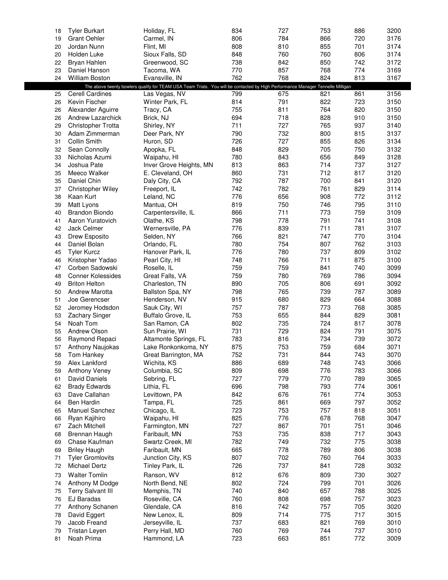| 18       | <b>Tyler Burkart</b>         | Holiday, FL                                                                                                                    | 834        | 727        | 753        | 886        | 3200         |
|----------|------------------------------|--------------------------------------------------------------------------------------------------------------------------------|------------|------------|------------|------------|--------------|
| 19       | <b>Grant Oehler</b>          | Carmel, IN                                                                                                                     | 806        | 784        | 866        | 720        | 3176         |
| 20       | Jordan Nunn                  | Flint, MI                                                                                                                      | 808        | 810        | 855        | 701        | 3174         |
| 20       | Holden Luke                  | Sioux Falls, SD                                                                                                                | 848        | 760        | 760        | 806        | 3174         |
| 22       | Bryan Hahlen                 | Greenwood, SC                                                                                                                  | 738        | 842        | 850        | 742        | 3172         |
| 23       | Daniel Hanson                | Tacoma, WA                                                                                                                     | 770        | 857        | 768        | 774        | 3169         |
| 24       | <b>William Boston</b>        | Evansville, IN                                                                                                                 | 762        | 768        | 824        | 813        | 3167         |
|          |                              | The above twenty bowlers qualify for TEAM USA Team Trials. You will be contacted by High Performance Manager Tennelle Milligan |            |            |            |            |              |
| 25       | Cerell Cardines              | Las Vegas, NV                                                                                                                  | 799        | 675        | 821        | 861        | 3156         |
| 26       | Kevin Fischer                | Winter Park, FL                                                                                                                | 814        | 791        | 822        | 723        | 3150         |
| 26       | Alexander Aguirre            | Tracy, CA                                                                                                                      | 755        | 811        | 764        | 820        | 3150         |
| 26       | Andrew Lazarchick            | Brick, NJ                                                                                                                      | 694        | 718        | 828        | 910        | 3150         |
| 29       | Christopher Trotta           | Shirley, NY                                                                                                                    | 711        | 727        | 765        | 937        | 3140         |
| 30       | Adam Zimmerman               | Deer Park, NY                                                                                                                  | 790        | 732        | 800        | 815        | 3137         |
| 31       | Collin Smith                 | Huron, SD                                                                                                                      | 726        | 727        | 855        | 826        | 3134         |
| 32       | Sean Connolly                | Apopka, FL                                                                                                                     | 848        | 829        | 705        | 750        | 3132         |
| 33       | Nicholas Azumi               | Waipahu, HI                                                                                                                    | 780        | 843        | 656        | 849        | 3128         |
| 34       | Joshua Pate                  | Inver Grove Heights, MN                                                                                                        | 813        | 863        | 714        | 737        | 3127         |
| 35       | Meeco Walker                 | E. Cleveland, OH                                                                                                               | 860        | 731        | 712        | 817        | 3120         |
| 35       | Daniel Chin                  | Daly City, CA                                                                                                                  | 792        | 787        | 700        | 841        | 3120         |
| 37       | Christopher Wiley            | Freeport, IL                                                                                                                   | 742        | 782        | 761        | 829        | 3114         |
| 38       | Kaan Kurt                    | Leland, NC                                                                                                                     | 776        | 656        | 908        | 772        | 3112         |
| 39       | Matt Lyons                   | Mantua, OH                                                                                                                     | 819        | 750        | 746        | 795        | 3110         |
| 40       | <b>Brandon Biondo</b>        | Carpentersville, IL                                                                                                            | 866        | 711<br>778 | 773        | 759        | 3109         |
| 41<br>42 | Aaron Yuratovich             | Olathe, KS<br>Wernersville, PA                                                                                                 | 798<br>776 | 839        | 791<br>711 | 741<br>781 | 3108<br>3107 |
| 43       | Jack Celmer<br>Drew Esposito |                                                                                                                                | 766        | 821        | 747        | 770        | 3104         |
| 44       | Daniel Bolan                 | Selden, NY<br>Orlando, FL                                                                                                      | 780        | 754        | 807        | 762        | 3103         |
| 45       | <b>Tyler Kurcz</b>           | Hanover Park, IL                                                                                                               | 776        | 780        | 737        | 809        | 3102         |
| 46       | Kristopher Yadao             | Pearl City, HI                                                                                                                 | 748        | 766        | 711        | 875        | 3100         |
| 47       | Corben Sadowski              | Roselle, IL                                                                                                                    | 759        | 759        | 841        | 740        | 3099         |
| 48       | <b>Conner Kolessides</b>     | Great Falls, VA                                                                                                                | 759        | 780        | 769        | 786        | 3094         |
| 49       | <b>Briton Helton</b>         | Charleston, TN                                                                                                                 | 890        | 705        | 806        | 691        | 3092         |
| 50       | <b>Andrew Marotta</b>        | Ballston Spa, NY                                                                                                               | 798        | 765        | 739        | 787        | 3089         |
| 51       | Joe Gerencser                | Henderson, NV                                                                                                                  | 915        | 680        | 829        | 664        | 3088         |
| 52       | Jeromey Hodsdon              | Sauk City, WI                                                                                                                  | 757        | 787        | 773        | 768        | 3085         |
| 53       | Zachary Singer               | Buffalo Grove, IL                                                                                                              | 753        | 655        | 844        | 829        | 3081         |
| 54       | Noah Tom                     | San Ramon, CA                                                                                                                  | 802        | 735        | 724        | 817        | 3078         |
| 55       | Andrew Olson                 | Sun Prairie, WI                                                                                                                | 731        | 729        | 824        | 791        | 3075         |
| 56       | Raymond Repaci               | Altamonte Springs, FL                                                                                                          | 783        | 816        | 734        | 739        | 3072         |
| 57       | Anthony Naujokas             | Lake Ronkonkoma, NY                                                                                                            | 875        | 753        | 759        | 684        | 3071         |
| 58       | Tom Hankey                   | Great Barrington, MA                                                                                                           | 752        | 731        | 844        | 743        | 3070         |
| 59       | Alex Lankford                | Wichita, KS                                                                                                                    | 886        | 689        | 748        | 743        | 3066         |
| 59       | Anthony Veney                | Columbia, SC                                                                                                                   | 809        | 698        | 776        | 783        | 3066         |
| 61       | <b>David Daniels</b>         | Sebring, FL                                                                                                                    | 727        | 779        | 770        | 789        | 3065         |
| 62       | <b>Brady Edwards</b>         | Lithia, FL                                                                                                                     | 696        | 798        | 793        | 774        | 3061         |
| 63       | Dave Callahan                | Levittown, PA                                                                                                                  | 842        | 676        | 761        | 774        | 3053         |
| 64       | <b>Ben Hardin</b>            | Tampa, FL                                                                                                                      | 725        | 861        | 669        | 797        | 3052         |
| 65       | Manuel Sanchez               | Chicago, IL                                                                                                                    | 723        | 753        | 757        | 818        | 3051         |
| 66       | Ryan Kajihiro                | Waipahu, HI                                                                                                                    | 825        | 776        | 678        | 768        | 3047         |
| 67       | Zach Mitchell                | Farmington, MN                                                                                                                 | 727        | 867        | 701        | 751        | 3046         |
| 68       | Brennan Haugh                | Faribault, MN                                                                                                                  | 753        | 735        | 838        | 717        | 3043         |
| 69       | Chase Kaufman                | Swartz Creek, MI                                                                                                               | 782        | 749        | 732        | 775        | 3038         |
| 69       | <b>Briley Haugh</b>          | Faribault, MN                                                                                                                  | 665        | 778        | 789        | 806        | 3038         |
| 71       | <b>Tyler Gromlovits</b>      | Junction City, KS                                                                                                              | 807        | 702        | 760        | 764        | 3033         |
| 72       | Michael Dertz                | Tinley Park, IL                                                                                                                | 726        | 737        | 841        | 728        | 3032         |
| 73       | <b>Walter Tomlin</b>         | Ranson, WV                                                                                                                     | 812        | 676        | 809        | 730        | 3027         |
| 74       | Anthony M Dodge              | North Bend, NE                                                                                                                 | 802        | 724        | 799        | 701        | 3026         |
| 75       | <b>Terry Salvant III</b>     | Memphis, TN                                                                                                                    | 740        | 840        | 657        | 788        | 3025         |
| 76       | EJ Baradas                   | Roseville, CA                                                                                                                  | 760        | 808        | 698        | 757        | 3023         |
| 77       | Anthony Schanen              | Glendale, CA                                                                                                                   | 816        | 742        | 757        | 705        | 3020         |
| 78       | David Eggert                 | New Lenox, IL                                                                                                                  | 809        | 714        | 775        | 717        | 3015         |
| 79       | Jacob Freand                 | Jerseyville, IL                                                                                                                | 737        | 683        | 821        | 769        | 3010         |
| 79       | Tristan Leyen                | Perry Hall, MD                                                                                                                 | 760<br>723 | 769        | 744        | 737        | 3010         |
| 81       | Noah Prima                   | Hammond, LA                                                                                                                    |            | 663        | 851        | 772        | 3009         |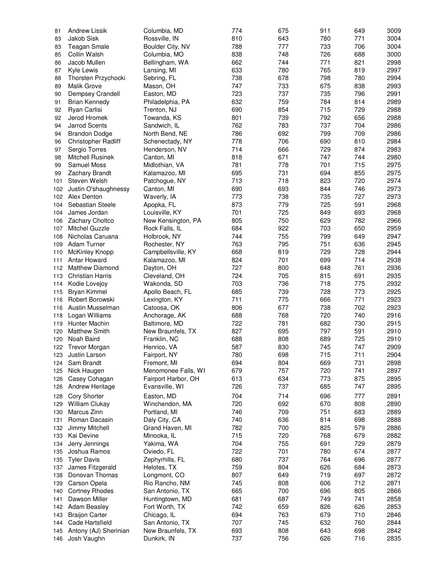| 81  | <b>Andrew Lissik</b>       | Columbia, MD        | 774 | 675 | 911 | 649 | 3009 |
|-----|----------------------------|---------------------|-----|-----|-----|-----|------|
| 83  | Jakob Sisk                 | Rossville, IN       | 810 | 643 | 780 | 771 | 3004 |
| 83  | <b>Teagan Smale</b>        | Boulder City, NV    | 788 | 777 | 733 | 706 | 3004 |
| 85  | Collin Walsh               | Columbia, MO        | 838 | 748 | 726 | 688 | 3000 |
| 86  | Jacob Mullen               | Bellingham, WA      | 662 | 744 | 771 | 821 | 2998 |
| 87  | Kyle Lewis                 | Lansing, MI         | 633 | 780 | 765 | 819 | 2997 |
| 88  | Thorsten Przychocki        | Sebring, FL         | 738 | 678 | 798 | 780 | 2994 |
|     | <b>Malik Grove</b>         |                     | 747 | 733 | 675 |     | 2993 |
| 89  |                            | Mason, OH           | 723 | 737 | 735 | 838 | 2991 |
| 90  | Dempsey Crandell           | Easton, MD          |     |     |     | 796 |      |
| 91  | <b>Brian Kennedy</b>       | Philadelphia, PA    | 632 | 759 | 784 | 814 | 2989 |
| 92  | Ryan Carlisi               | Trenton, NJ         | 690 | 854 | 715 | 729 | 2988 |
| 92  | Jerod Hromek               | Towanda, KS         | 801 | 739 | 792 | 656 | 2988 |
| 94  | <b>Jarrod Scents</b>       | Sandwich, IL        | 762 | 783 | 737 | 704 | 2986 |
| 94  | <b>Brandon Dodge</b>       | North Bend, NE      | 786 | 692 | 799 | 709 | 2986 |
| 96  | <b>Christopher Radliff</b> | Schenectady, NY     | 778 | 706 | 690 | 810 | 2984 |
| 97  | Sergio Torres              | Henderson, NV       | 714 | 666 | 729 | 874 | 2983 |
| 98  | <b>Mitchell Rusinek</b>    | Canton, MI          | 818 | 671 | 747 | 744 | 2980 |
| 99  | <b>Samuel Moss</b>         | Midlothian, VA      | 781 | 778 | 701 | 715 | 2975 |
| 99  | <b>Zachary Brandt</b>      | Kalamazoo, MI       | 695 | 731 | 694 | 855 | 2975 |
| 101 | Steven Welsh               | Patchogue, NY       | 713 | 718 | 823 | 720 | 2974 |
|     | 102 Justin O'shaughnessy   | Canton, MI          | 690 | 693 | 844 | 746 | 2973 |
|     | 102 Alex Denton            | Waverly, IA         | 773 | 738 | 735 | 727 | 2973 |
| 104 | Sebastian Steele           | Apopka, FL          | 873 | 779 | 725 | 591 | 2968 |
| 104 | James Jordan               | Louisville, KY      | 701 | 725 | 849 | 693 | 2968 |
| 106 | Zachary Choltco            | New Kensington, PA  | 805 | 750 | 629 | 782 | 2966 |
| 107 | <b>Mitchel Guzzle</b>      | Rock Falls, IL      | 684 | 922 | 703 | 650 | 2959 |
| 108 | Nicholas Caruana           | Holbrook, NY        | 744 | 755 | 799 | 649 | 2947 |
| 109 | <b>Adam Turner</b>         | Rochester, NY       | 763 | 795 | 751 | 636 | 2945 |
| 110 | <b>McKinley Knopp</b>      | Campbellsville, KY  | 668 | 819 | 729 | 728 | 2944 |
| 111 | Antar Howard               | Kalamazoo, MI       | 824 | 701 | 699 | 714 | 2938 |
|     | 112 Matthew Diamond        | Dayton, OH          | 727 | 800 | 648 | 761 | 2936 |
| 113 | <b>Christian Harris</b>    | Cleveland, OH       | 724 | 705 | 815 | 691 | 2935 |
| 114 | Kodie Lovejoy              | Wakonda, SD         | 703 | 736 | 718 | 775 | 2932 |
| 115 | <b>Bryan Kimmel</b>        | Apollo Beach, FL    | 685 | 739 | 728 | 773 | 2925 |
| 116 | Robert Borowski            | Lexington, KY       | 711 | 775 | 666 | 771 | 2923 |
|     | 116 Austin Musselman       | Catoosa, OK         | 806 | 677 | 738 | 702 | 2923 |
| 118 | Logan Williams             | Anchorage, AK       | 688 | 768 | 720 | 740 | 2916 |
| 119 | <b>Hunter Machin</b>       | Baltimore, MD       | 722 | 781 | 682 | 730 | 2915 |
| 120 | <b>Matthew Smith</b>       | New Braunfels, TX   | 827 | 695 | 797 | 591 | 2910 |
| 120 | Noah Baird                 | Franklin, NC        | 688 | 808 | 689 | 725 | 2910 |
| 122 | <b>Trevor Morgan</b>       | Henrico, VA         | 587 | 830 | 745 | 747 | 2909 |
|     | 123 Justin Larson          | Fairport, NY        | 780 | 698 | 715 | 711 | 2904 |
| 124 | Sam Brandt                 | Fremont, MI         | 694 | 804 | 669 | 731 | 2898 |
| 125 | Nick Haugen                | Menomonee Falls, WI | 679 | 757 | 720 | 741 | 2897 |
| 126 | Casey Cohagan              | Fairport Harbor, OH | 613 | 634 | 773 | 875 | 2895 |
| 126 | Andrew Heritage            | Evansville, WI      | 726 | 737 | 685 | 747 | 2895 |
| 128 | <b>Cory Shorter</b>        | Easton, MD          | 704 | 714 | 696 | 777 | 2891 |
| 129 | William Clukay             | Winchendon, MA      | 720 | 692 | 670 | 808 | 2890 |
| 130 | Marcus Zinn                | Portland, MI        | 746 | 709 | 751 | 683 | 2889 |
| 131 | Roman Dacasin              | Daly City, CA       | 740 | 636 | 814 | 698 | 2888 |
| 132 | Jimmy Mitchell             | Grand Haven, MI     | 782 | 700 | 825 | 579 | 2886 |
| 133 | Kai Devine                 | Minooka, IL         | 715 | 720 | 768 | 679 | 2882 |
| 134 | Jerry Jennings             | Yakima, WA          | 704 | 755 | 691 | 729 | 2879 |
| 135 | Joshua Ramos               | Oviedo, FL          | 722 | 701 | 780 | 674 | 2877 |
|     |                            |                     | 680 | 737 | 764 | 696 | 2877 |
| 135 | <b>Tyler Davis</b>         | Zephyrhills, FL     |     |     |     |     |      |
| 137 | James Fitzgerald           | Helotes, TX         | 759 | 804 | 626 | 684 | 2873 |
| 138 | Donovan Thomas             | Longmont, CO        | 807 | 649 | 719 | 697 | 2872 |
| 139 | Carson Opela               | Rio Rancho, NM      | 745 | 808 | 606 | 712 | 2871 |
| 140 | <b>Cortney Rhodes</b>      | San Antonio, TX     | 665 | 700 | 696 | 805 | 2866 |
| 141 | Dawson Miller              | Huntingtown, MD     | 681 | 687 | 749 | 741 | 2858 |
|     | 142 Adam Beasley           | Fort Worth, TX      | 742 | 659 | 826 | 626 | 2853 |
| 143 | <b>Braijon Carter</b>      | Chicago, IL         | 694 | 763 | 679 | 710 | 2846 |
| 144 | Cade Hartsfield            | San Antonio, TX     | 707 | 745 | 632 | 760 | 2844 |
| 145 | Antony (AJ) Sherinian      | New Braunfels, TX   | 693 | 808 | 643 | 698 | 2842 |
| 146 | Josh Vaughn                | Dunkirk, IN         | 737 | 756 | 626 | 716 | 2835 |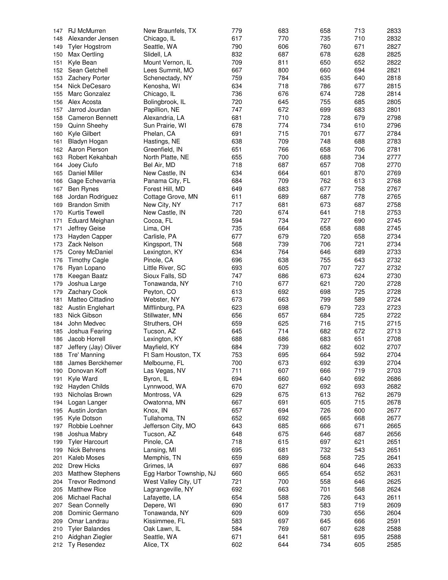| 147 | RJ McMurren             | New Braunfels, TX       | 779 | 683 | 658 | 713 | 2833 |
|-----|-------------------------|-------------------------|-----|-----|-----|-----|------|
| 148 | Alexander Jensen        | Chicago, IL             | 617 | 770 | 735 | 710 | 2832 |
| 149 | <b>Tyler Hogstrom</b>   | Seattle, WA             | 790 | 606 | 760 | 671 | 2827 |
| 150 | Max Oertling            | Slidell, LA             | 832 | 687 | 678 | 628 | 2825 |
|     |                         |                         |     |     |     |     |      |
| 151 | Kyle Bean               | Mount Vernon, IL        | 709 | 811 | 650 | 652 | 2822 |
| 152 | Sean Getchell           | Lees Summit, MO         | 667 | 800 | 660 | 694 | 2821 |
| 153 | <b>Zachery Porter</b>   | Schenectady, NY         | 759 | 784 | 635 | 640 | 2818 |
| 154 | Nick DeCesaro           | Kenosha, WI             | 634 | 718 | 786 | 677 | 2815 |
| 155 | Marc Gonzalez           | Chicago, IL             | 736 | 676 | 674 | 728 | 2814 |
| 156 | Alex Acosta             | Bolingbrook, IL         | 720 | 645 | 755 | 685 | 2805 |
| 157 | Jarrod Jourdan          | Papillion, NE           | 747 | 672 | 699 | 683 | 2801 |
| 158 | <b>Cameron Bennett</b>  | Alexandria, LA          | 681 | 710 | 728 | 679 | 2798 |
| 159 | Quinn Sheehy            | Sun Prairie, WI         | 678 | 774 | 734 | 610 | 2796 |
| 160 | Kyle Gilbert            | Phelan, CA              | 691 | 715 | 701 | 677 | 2784 |
|     |                         |                         | 638 | 709 | 748 | 688 | 2783 |
| 161 | Bladyn Hogan            | Hastings, NE            |     |     |     |     |      |
|     | 162 Aaron Pierson       | Greenfield, IN          | 651 | 766 | 658 | 706 | 2781 |
| 163 | Robert Kekahbah         | North Platte, NE        | 655 | 700 | 688 | 734 | 2777 |
| 164 | Joey Ciufo              | Bel Air, MD             | 718 | 687 | 657 | 708 | 2770 |
| 165 | Daniel Miller           | New Castle, IN          | 634 | 664 | 601 | 870 | 2769 |
| 166 | Gage Echevarria         | Panama City, FL         | 684 | 709 | 762 | 613 | 2768 |
| 167 | Ben Rynes               | Forest Hill, MD         | 649 | 683 | 677 | 758 | 2767 |
| 168 | Jordan Rodriguez        | Cottage Grove, MN       | 611 | 689 | 687 | 778 | 2765 |
| 169 | <b>Brandon Smith</b>    | New City, NY            | 717 | 681 | 673 | 687 | 2758 |
| 170 | <b>Kurtis Tewell</b>    | New Castle, IN          | 720 | 674 | 641 | 718 | 2753 |
|     |                         |                         |     |     |     |     |      |
| 171 | <b>Eduard Meighan</b>   | Cocoa, FL               | 594 | 734 | 727 | 690 | 2745 |
| 171 | Jeffrey Geise           | Lima, OH                | 735 | 664 | 658 | 688 | 2745 |
| 173 | Hayden Capper           | Carlisle, PA            | 677 | 679 | 720 | 658 | 2734 |
| 173 | Zack Nelson             | Kingsport, TN           | 568 | 739 | 706 | 721 | 2734 |
| 175 | Corey McDaniel          | Lexington, KY           | 634 | 764 | 646 | 689 | 2733 |
| 176 | <b>Timothy Cagle</b>    | Pinole, CA              | 696 | 638 | 755 | 643 | 2732 |
| 176 | Ryan Lopano             | Little River, SC        | 693 | 605 | 707 | 727 | 2732 |
| 178 | Keegan Baatz            | Sioux Falls, SD         | 747 | 686 | 673 | 624 | 2730 |
| 179 | Joshua Large            | Tonawanda, NY           | 710 | 677 | 621 | 720 | 2728 |
|     |                         |                         |     |     | 698 | 725 | 2728 |
| 179 | <b>Zachary Cook</b>     | Peyton, CO              | 613 | 692 |     |     |      |
| 181 | Matteo Cittadino        | Webster, NY             | 673 | 663 | 799 | 589 | 2724 |
|     | 182 Austin Englehart    | Mifflinburg, PA         | 623 | 698 | 679 | 723 | 2723 |
| 183 | Nick Gibson             | Stillwater, MN          | 656 | 657 | 684 | 725 | 2722 |
| 184 | John Medvec             | Struthers, OH           | 659 | 625 | 716 | 715 | 2715 |
| 185 | Joshua Fearing          | Tucson, AZ              | 645 | 714 | 682 | 672 | 2713 |
| 186 | Jacob Horrell           | Lexington, KY           | 688 | 686 | 683 | 651 | 2708 |
| 187 | Jeffery (Jay) Oliver    | Mayfield, KY            | 684 | 739 | 682 | 602 | 2707 |
|     | 188 Tre' Manning        | Ft Sam Houston, TX      | 753 | 695 | 664 | 592 | 2704 |
|     | James Berckhemer        | Melbourne, FL           | 700 | 673 | 692 | 639 | 2704 |
| 188 |                         |                         |     |     |     |     |      |
| 190 | Donovan Koff            | Las Vegas, NV           | 711 | 607 | 666 | 719 | 2703 |
| 191 | Kyle Ward               | Byron, IL               | 694 | 660 | 640 | 692 | 2686 |
| 192 | Hayden Childs           | Lynnwood, WA            | 670 | 627 | 692 | 693 | 2682 |
| 193 | Nicholas Brown          | Montross, VA            | 629 | 675 | 613 | 762 | 2679 |
| 194 | Logan Langer            | Owatonna, MN            | 667 | 691 | 605 | 715 | 2678 |
| 195 | Austin Jordan           | Knox, IN                | 657 | 694 | 726 | 600 | 2677 |
| 195 | Kyle Dotson             | Tullahoma, TN           | 652 | 692 | 665 | 668 | 2677 |
| 197 | Robbie Loehner          | Jefferson City, MO      | 643 | 685 | 666 | 671 | 2665 |
| 198 | Joshua Mabry            | Tucson, AZ              | 648 | 675 | 646 | 687 | 2656 |
|     |                         |                         |     |     |     |     |      |
| 199 | <b>Tyler Harcourt</b>   | Pinole, CA              | 718 | 615 | 697 | 621 | 2651 |
| 199 | Nick Behrens            | Lansing, MI             | 695 | 681 | 732 | 543 | 2651 |
| 201 | Kaleb Moses             | Memphis, TN             | 659 | 689 | 568 | 725 | 2641 |
| 202 | Drew Hicks              | Grimes, IA              | 697 | 686 | 604 | 646 | 2633 |
| 203 | <b>Matthew Stephens</b> | Egg Harbor Township, NJ | 660 | 665 | 654 | 652 | 2631 |
| 204 | <b>Trevor Redmond</b>   | West Valley City, UT    | 721 | 700 | 558 | 646 | 2625 |
| 205 | <b>Matthew Rice</b>     | Lagrangeville, NY       | 692 | 663 | 701 | 568 | 2624 |
| 206 | Michael Rachal          | Lafayette, LA           | 654 | 588 | 726 | 643 | 2611 |
| 207 | Sean Connelly           |                         | 690 | 617 | 583 | 719 | 2609 |
|     |                         | Depere, WI              |     |     |     |     |      |
| 208 | Dominic Germano         | Tonawanda, NY           | 609 | 609 | 730 | 656 | 2604 |
| 209 | Omar Landrau            | Kissimmee, FL           | 583 | 697 | 645 | 666 | 2591 |
| 210 | <b>Tyler Balandes</b>   | Oak Lawn, IL            | 584 | 769 | 607 | 628 | 2588 |
| 210 | Aidghan Ziegler         | Seattle, WA             | 671 | 641 | 581 | 695 | 2588 |
|     | 212 Ty Resendez         | Alice, TX               | 602 | 644 | 734 | 605 | 2585 |
|     |                         |                         |     |     |     |     |      |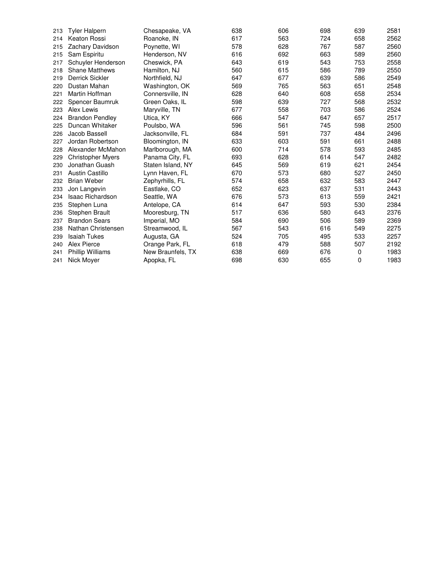| 213 | <b>Tyler Halpern</b>     | Chesapeake, VA    | 638 | 606 | 698 | 639 | 2581 |
|-----|--------------------------|-------------------|-----|-----|-----|-----|------|
| 214 | Keaton Rossi             | Roanoke, IN       | 617 | 563 | 724 | 658 | 2562 |
| 215 | Zachary Davidson         | Poynette, WI      | 578 | 628 | 767 | 587 | 2560 |
| 215 | Sam Espiritu             | Henderson, NV     | 616 | 692 | 663 | 589 | 2560 |
| 217 | Schuyler Henderson       | Cheswick, PA      | 643 | 619 | 543 | 753 | 2558 |
| 218 | <b>Shane Matthews</b>    | Hamilton, NJ      | 560 | 615 | 586 | 789 | 2550 |
| 219 | <b>Derrick Sickler</b>   | Northfield, NJ    | 647 | 677 | 639 | 586 | 2549 |
| 220 | Dustan Mahan             | Washington, OK    | 569 | 765 | 563 | 651 | 2548 |
| 221 | Martin Hoffman           | Connersville, IN  | 628 | 640 | 608 | 658 | 2534 |
| 222 | Spencer Baumruk          | Green Oaks, IL    | 598 | 639 | 727 | 568 | 2532 |
| 223 | Alex Lewis               | Maryville, TN     | 677 | 558 | 703 | 586 | 2524 |
| 224 | <b>Brandon Pendley</b>   | Utica, KY         | 666 | 547 | 647 | 657 | 2517 |
| 225 | Duncan Whitaker          | Poulsbo, WA       | 596 | 561 | 745 | 598 | 2500 |
| 226 | Jacob Bassell            | Jacksonville, FL  | 684 | 591 | 737 | 484 | 2496 |
| 227 | Jordan Robertson         | Bloomington, IN   | 633 | 603 | 591 | 661 | 2488 |
| 228 | Alexander McMahon        | Marlborough, MA   | 600 | 714 | 578 | 593 | 2485 |
| 229 | <b>Christopher Myers</b> | Panama City, FL   | 693 | 628 | 614 | 547 | 2482 |
| 230 | Jonathan Guash           | Staten Island, NY | 645 | 569 | 619 | 621 | 2454 |
| 231 | <b>Austin Castillo</b>   | Lynn Haven, FL    | 670 | 573 | 680 | 527 | 2450 |
| 232 | <b>Brian Weber</b>       | Zephyrhills, FL   | 574 | 658 | 632 | 583 | 2447 |
| 233 | Jon Langevin             | Eastlake, CO      | 652 | 623 | 637 | 531 | 2443 |
| 234 | <b>Isaac Richardson</b>  | Seattle, WA       | 676 | 573 | 613 | 559 | 2421 |
| 235 | Stephen Luna             | Antelope, CA      | 614 | 647 | 593 | 530 | 2384 |
| 236 | Stephen Brault           | Mooresburg, TN    | 517 | 636 | 580 | 643 | 2376 |
| 237 | <b>Brandon Sears</b>     | Imperial, MO      | 584 | 690 | 506 | 589 | 2369 |
| 238 | Nathan Christensen       | Streamwood, IL    | 567 | 543 | 616 | 549 | 2275 |
| 239 | <b>Isaiah Tukes</b>      | Augusta, GA       | 524 | 705 | 495 | 533 | 2257 |
| 240 | Alex Pierce              | Orange Park, FL   | 618 | 479 | 588 | 507 | 2192 |
| 241 | <b>Phillip Williams</b>  | New Braunfels, TX | 638 | 669 | 676 | 0   | 1983 |
| 241 | Nick Mover               | Apopka, FL        | 698 | 630 | 655 | 0   | 1983 |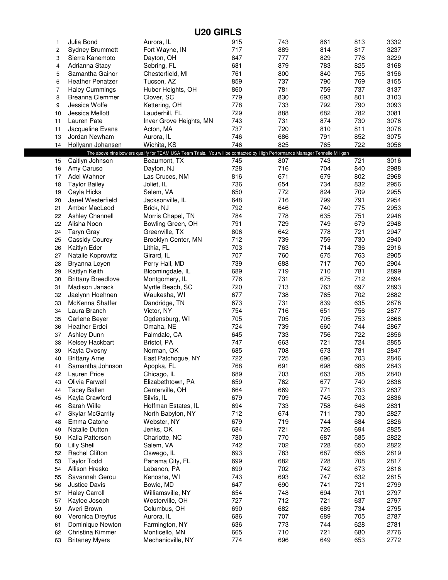| <b>U20 GIRLS</b> |                                      |                                                                                                                              |            |            |            |            |              |  |
|------------------|--------------------------------------|------------------------------------------------------------------------------------------------------------------------------|------------|------------|------------|------------|--------------|--|
| 1                | Julia Bond                           | Aurora, IL                                                                                                                   | 915        | 743        | 861        | 813        | 3332         |  |
| $\overline{c}$   | <b>Sydney Brummett</b>               | Fort Wayne, IN                                                                                                               | 717        | 889        | 814        | 817        | 3237         |  |
| 3                | Sierra Kanemoto                      | Dayton, OH                                                                                                                   | 847        | 777        | 829        | 776        | 3229         |  |
| 4                | Adrianna Stacy                       | Sebring, FL                                                                                                                  | 681        | 879        | 783        | 825        | 3168         |  |
| 5                | Samantha Gainor                      | Chesterfield, MI                                                                                                             | 761        | 800        | 840        | 755        | 3156         |  |
| 6                | <b>Heather Penatzer</b>              | Tucson, AZ                                                                                                                   | 859        | 737        | 790        | 769        | 3155         |  |
| $\overline{7}$   | <b>Haley Cummings</b>                | Huber Heights, OH                                                                                                            | 860        | 781        | 759        | 737        | 3137         |  |
| 8                | <b>Breanna Clemmer</b>               | Clover, SC                                                                                                                   | 779        | 830        | 693        | 801        | 3103         |  |
| 9                | Jessica Wolfe                        | Kettering, OH                                                                                                                | 778        | 733        | 792        | 790        | 3093         |  |
| 10               | Jessica Mellott                      | Lauderhill, FL                                                                                                               | 729        | 888        | 682        | 782        | 3081         |  |
| 11               | Lauren Pate                          | Inver Grove Heights, MN                                                                                                      | 743        | 731        | 874        | 730        | 3078         |  |
| 11               | Jacqueline Evans                     | Acton, MA                                                                                                                    | 737        | 720        | 810        | 811        | 3078         |  |
| 13               | Jordan Newham                        | Aurora, IL                                                                                                                   | 746        | 686        | 791        | 852        | 3075         |  |
| 14               | Hollyann Johansen                    | Wichita, KS                                                                                                                  | 746        | 825        | 765        | 722        | 3058         |  |
|                  |                                      | The above nine bowlers qualify for TEAM USA Team Trials. You will be contacted by High Performance Manager Tennelle Milligan | 745        | 807        | 743        | 721        | 3016         |  |
| 15               | Caitlyn Johnson                      | Beaumont, TX                                                                                                                 | 728        | 716        | 704        | 840        | 2988         |  |
| 16               | Amy Caruso<br>Adel Wahner            | Dayton, NJ<br>Las Cruces, NM                                                                                                 | 816        | 671        | 679        | 802        | 2968         |  |
| 17<br>18         | <b>Taylor Bailey</b>                 |                                                                                                                              | 736        | 654        | 734        | 832        | 2956         |  |
| 19               | Cayla Hicks                          | Joliet, IL<br>Salem, VA                                                                                                      | 650        | 772        | 824        | 709        | 2955         |  |
| 20               | Janel Westerfield                    | Jacksonville, IL                                                                                                             | 648        | 716        | 799        | 791        | 2954         |  |
| 21               | Amber MacLeod                        | Brick, NJ                                                                                                                    | 792        | 646        | 740        | 775        | 2953         |  |
| 22               | <b>Ashley Channell</b>               | Morris Chapel, TN                                                                                                            | 784        | 778        | 635        | 751        | 2948         |  |
| 22               | Alisha Noon                          | Bowling Green, OH                                                                                                            | 791        | 729        | 749        | 679        | 2948         |  |
| 24               | Taryn Gray                           | Greenville, TX                                                                                                               | 806        | 642        | 778        | 721        | 2947         |  |
| 25               | <b>Cassidy Courey</b>                | Brooklyn Center, MN                                                                                                          | 712        | 739        | 759        | 730        | 2940         |  |
| 26               | Kaitlyn Eder                         | Lithia, FL                                                                                                                   | 703        | 763        | 714        | 736        | 2916         |  |
| 27               | Natalie Koprowitz                    | Girard, IL                                                                                                                   | 707        | 760        | 675        | 763        | 2905         |  |
| 28               | Bryanna Leyen                        | Perry Hall, MD                                                                                                               | 739        | 688        | 717        | 760        | 2904         |  |
| 29               | Kaitlyn Keith                        | Bloomingdale, IL                                                                                                             | 689        | 719        | 710        | 781        | 2899         |  |
| 30               | <b>Brittany Breedlove</b>            | Montgomery, IL                                                                                                               | 776        | 731        | 675        | 712        | 2894         |  |
| 31               | Madison Janack                       | Myrtle Beach, SC                                                                                                             | 720        | 713        | 763        | 697        | 2893         |  |
| 32               | Jaelynn Hoehnen                      | Waukesha, WI                                                                                                                 | 677        | 738        | 765        | 702        | 2882         |  |
| 33               | McKenna Shaffer                      | Dandridge, TN                                                                                                                | 673        | 731        | 839        | 635        | 2878         |  |
| 34               | Laura Branch                         | Victor, NY                                                                                                                   | 754        | 716        | 651        | 756        | 2877         |  |
| 35               | Carlene Beyer                        | Ogdensburg, WI                                                                                                               | 705        | 705        | 705        | 753        | 2868         |  |
| 36               | <b>Heather Erdei</b>                 | Omaha, NE                                                                                                                    | 724        | 739        | 660        | 744        | 2867         |  |
| 37               | <b>Ashley Dunn</b>                   | Palmdale, CA                                                                                                                 | 645        | 733        | 756        | 722        | 2856         |  |
| 38               | Kelsey Hackbart                      | Bristol, PA                                                                                                                  | 747        | 663        | 721        | 724        | 2855         |  |
| 39               | Kayla Ovesny                         | Norman, OK                                                                                                                   | 685        | 708        | 673        | 781        | 2847         |  |
| 40               | <b>Brittany Arne</b>                 | East Patchogue, NY                                                                                                           | 722        | 725        | 696        | 703        | 2846         |  |
| 41               | Samantha Johnson                     | Apopka, FL                                                                                                                   | 768        | 691        | 698        | 686        | 2843         |  |
| 42               | Lauren Price                         | Chicago, IL                                                                                                                  | 689        | 703        | 663        | 785        | 2840         |  |
| 43               | Olivia Farwell                       | Elizabethtown, PA                                                                                                            | 659        | 762        | 677        | 740        | 2838         |  |
| 44               | <b>Tacey Ballen</b>                  | Centerville, OH                                                                                                              | 664        | 669        | 771        | 733        | 2837         |  |
| 45               | Kayla Crawford                       | Silvis, IL                                                                                                                   | 679        | 709        | 745        | 703        | 2836         |  |
| 46               | Sarah Wille                          | Hoffman Estates, IL                                                                                                          | 694        | 733        | 758        | 646        | 2831         |  |
| 47               | <b>Skylar McGarrity</b>              | North Babylon, NY                                                                                                            | 712        | 674        | 711        | 730        | 2827         |  |
| 48               | Emma Catone                          | Webster, NY                                                                                                                  | 679        | 719        | 744        | 684        | 2826         |  |
| 49               | Natalie Dutton                       | Jenks, OK                                                                                                                    | 684        | 721        | 726        | 694        | 2825         |  |
| 50               | Kalia Patterson                      | Charlotte, NC                                                                                                                | 780        | 770        | 687        | 585        | 2822         |  |
| 50               | <b>Lilly Shell</b>                   | Salem, VA                                                                                                                    | 742        | 702        | 728        | 650        | 2822         |  |
| 52               | Rachel Clifton                       | Oswego, IL                                                                                                                   | 693        | 783        | 687        | 656        | 2819         |  |
| 53               | <b>Taylor Todd</b>                   | Panama City, FL                                                                                                              | 699        | 682        | 728        | 708        | 2817         |  |
| 54               | Allison Hresko                       | Lebanon, PA                                                                                                                  | 699        | 702        | 742        | 673        | 2816         |  |
| 55               | Savannah Gerou                       | Kenosha, WI                                                                                                                  | 743        | 693        | 747        | 632        | 2815         |  |
| 56               | <b>Justice Davis</b>                 | Bowie, MD                                                                                                                    | 647        | 690        | 741        | 721        | 2799         |  |
| 57               | <b>Haley Carroll</b>                 | Williamsville, NY                                                                                                            | 654        | 748        | 694        | 701        | 2797         |  |
| 57               | Kaylee Joseph                        | Westerville, OH                                                                                                              | 727        | 712        | 721        | 637        | 2797         |  |
| 59               | Averi Brown                          | Columbus, OH                                                                                                                 | 690<br>686 | 682<br>707 | 689<br>689 | 734<br>705 | 2795         |  |
| 60<br>61         | Veronica Dreyfus<br>Dominique Newton | Aurora, IL<br>Farmington, NY                                                                                                 | 636        | 773        | 744        | 628        | 2787<br>2781 |  |
| 62               | Christina Kimmer                     | Monticello, MN                                                                                                               | 665        | 710        | 721        | 680        | 2776         |  |
| 63               | <b>Britaney Myers</b>                | Mechanicville, NY                                                                                                            | 774        | 696        | 649        | 653        | 2772         |  |
|                  |                                      |                                                                                                                              |            |            |            |            |              |  |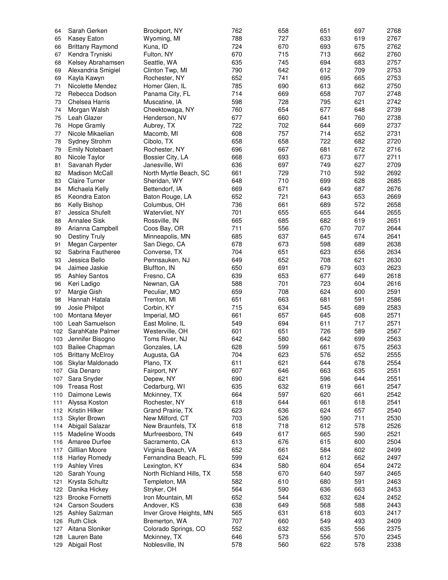| 64  | Sarah Gerken            | Brockport, NY            | 762 | 658 | 651 | 697 | 2768 |
|-----|-------------------------|--------------------------|-----|-----|-----|-----|------|
|     |                         |                          |     |     |     |     |      |
| 65  | Kasey Eaton             | Wyoming, MI              | 788 | 727 | 633 | 619 | 2767 |
| 66  | <b>Brittany Raymond</b> | Kuna, ID                 | 724 | 670 | 693 | 675 | 2762 |
| 67  | Kendra Tryniski         | Fulton, NY               | 670 | 715 | 713 | 662 | 2760 |
| 68  | Kelsey Abrahamsen       | Seattle, WA              | 635 | 745 | 694 | 683 | 2757 |
|     |                         |                          |     |     |     |     |      |
| 69  | Alexandria Smigiel      | Clinton Twp, MI          | 790 | 642 | 612 | 709 | 2753 |
| 69  | Kayla Kawyn             | Rochester, NY            | 652 | 741 | 695 | 665 | 2753 |
| 71  | <b>Nicolette Mendez</b> | Homer Glen, IL           | 785 | 690 | 613 | 662 | 2750 |
| 72  | Rebecca Dodson          | Panama City, FL          | 714 | 669 | 658 | 707 | 2748 |
|     |                         |                          |     |     |     |     |      |
| 73  | Chelsea Harris          | Muscatine, IA            | 598 | 728 | 795 | 621 | 2742 |
| 74  | Morgan Walsh            | Cheektowaga, NY          | 760 | 654 | 677 | 648 | 2739 |
| 75  | Leah Glazer             | Henderson, NV            | 677 | 660 | 641 | 760 | 2738 |
| 76  | <b>Hope Gramly</b>      |                          | 722 | 702 | 644 | 669 | 2737 |
|     |                         | Aubrey, TX               |     |     |     |     |      |
| 77  | Nicole Mikaelian        | Macomb, MI               | 608 | 757 | 714 | 652 | 2731 |
| 78  | Sydney Strohm           | Cibolo, TX               | 658 | 658 | 722 | 682 | 2720 |
| 79  | <b>Emily Notebaert</b>  | Rochester, NY            | 696 | 667 | 681 | 672 | 2716 |
| 80  | Nicole Taylor           | Bossier City, LA         | 668 | 693 | 673 | 677 | 2711 |
|     |                         |                          |     |     |     |     |      |
| 81  | Savanah Ryder           | Janesville, WI           | 636 | 697 | 749 | 627 | 2709 |
| 82  | <b>Madison McCall</b>   | North Myrtle Beach, SC   | 661 | 729 | 710 | 592 | 2692 |
| 83  | Claire Turner           | Sheridan, WY             | 648 | 710 | 699 | 628 | 2685 |
|     | Michaela Kelly          | Bettendorf, IA           | 669 | 671 | 649 | 687 | 2676 |
| 84  |                         |                          |     |     |     |     |      |
| 85  | Keondra Eaton           | Baton Rouge, LA          | 652 | 721 | 643 | 653 | 2669 |
| 86  | <b>Kelly Bishop</b>     | Columbus, OH             | 736 | 661 | 689 | 572 | 2658 |
| 87  | Jessica Shufelt         | Watervliet, NY           | 701 | 655 | 655 | 644 | 2655 |
|     |                         |                          |     |     |     |     |      |
| 88  | <b>Annalee Sisk</b>     | Rossville, IN            | 665 | 685 | 682 | 619 | 2651 |
| 89  | Arianna Campbell        | Coos Bay, OR             | 711 | 556 | 670 | 707 | 2644 |
| 90  | <b>Destiny Truly</b>    | Minneapolis, MN          | 685 | 637 | 645 | 674 | 2641 |
| 91  |                         | San Diego, CA            | 678 | 673 | 598 | 689 | 2638 |
|     | Megan Carpenter         |                          |     |     |     |     |      |
| 92  | Sabrina Fautheree       | Converse, TX             | 704 | 651 | 623 | 656 | 2634 |
| 93  | Jessica Bello           | Pennsauken, NJ           | 649 | 652 | 708 | 621 | 2630 |
| 94  | Jaimee Jaskie           | Bluffton, IN             | 650 | 691 | 679 | 603 | 2623 |
|     |                         |                          | 639 | 653 | 677 | 649 | 2618 |
| 95  | <b>Ashley Santos</b>    | Fresno, CA               |     |     |     |     |      |
| 96  | Keri Ladigo             | Newnan, GA               | 588 | 701 | 723 | 604 | 2616 |
| 97  | Margie Gish             | Peculiar, MO             | 659 | 708 | 624 | 600 | 2591 |
| 98  | Hannah Hatala           | Trenton, MI              | 651 | 663 | 681 | 591 | 2586 |
|     |                         |                          |     |     |     |     |      |
| 99  | Josie Philpot           | Corbin, KY               | 715 | 634 | 545 | 689 | 2583 |
| 100 | Montana Meyer           | Imperial, MO             | 661 | 657 | 645 | 608 | 2571 |
| 100 | Leah Samuelson          | East Moline, IL          | 549 | 694 | 611 | 717 | 2571 |
| 102 | SarahKate Palmer        | Westerville, OH          | 601 | 651 | 726 | 589 | 2567 |
|     |                         |                          |     |     |     |     |      |
| 103 | Jennifer Bisogno        | Toms River, NJ           | 642 | 580 | 642 | 699 | 2563 |
| 103 | <b>Bailee Chapman</b>   | Gonzales, LA             | 628 | 599 | 661 | 675 | 2563 |
|     | 105 Brittany McElroy    | Augusta, GA              | 704 | 623 | 576 | 652 | 2555 |
|     | Skylar Maldonado        |                          | 611 | 621 | 644 | 678 | 2554 |
| 106 |                         | Plano, TX                |     |     |     |     |      |
| 107 | Gia Denaro              | Fairport, NY             | 607 | 646 | 663 | 635 | 2551 |
| 107 | Sara Snyder             | Depew, NY                | 690 | 621 | 596 | 644 | 2551 |
| 109 | <b>Treasa Rost</b>      | Cedarburg, WI            | 635 | 632 | 619 | 661 | 2547 |
|     |                         |                          |     |     |     |     |      |
| 110 | Daimone Lewis           | Mckinney, TX             | 664 | 597 | 620 | 661 | 2542 |
| 111 | Alyssa Koston           | Rochester, NY            | 618 | 644 | 661 | 618 | 2541 |
|     | 112 Kristin Hilker      | Grand Prairie, TX        | 623 | 636 | 624 | 657 | 2540 |
| 113 | Skyler Brown            | New Milford, CT          | 703 | 526 | 590 | 711 | 2530 |
|     |                         |                          |     |     |     |     |      |
|     | 114 Abigail Salazar     | New Braunfels, TX        | 618 | 718 | 612 | 578 | 2526 |
| 115 | Madeline Woods          | Murfreesboro, TN         | 649 | 617 | 665 | 590 | 2521 |
| 116 | Amaree Durfee           | Sacramento, CA           | 613 | 676 | 615 | 600 | 2504 |
| 117 | Gilllian Moore          | Virginia Beach, VA       | 652 | 661 | 584 | 602 | 2499 |
|     |                         |                          |     |     |     |     |      |
| 118 | <b>Harley Romedy</b>    | Fernandina Beach, FL     | 599 | 624 | 612 | 662 | 2497 |
| 119 | <b>Ashley Vires</b>     | Lexington, KY            | 634 | 580 | 604 | 654 | 2472 |
| 120 | Sarah Young             | North Richland Hills, TX | 558 | 670 | 640 | 597 | 2465 |
|     |                         |                          |     |     |     |     |      |
| 121 | Krysta Schultz          | Templeton, MA            | 582 | 610 | 680 | 591 | 2463 |
| 122 | Danika Hickey           | Stryker, OH              | 564 | 590 | 636 | 663 | 2453 |
| 123 | <b>Brooke Fornetti</b>  | Iron Mountain, MI        | 652 | 544 | 632 | 624 | 2452 |
|     | 124 Carson Souders      | Andover, KS              | 638 | 649 | 568 | 588 | 2443 |
|     |                         |                          |     |     |     |     |      |
| 125 | Ashley Salzman          | Inver Grove Heights, MN  | 565 | 631 | 618 | 603 | 2417 |
| 126 | <b>Ruth Click</b>       | Bremerton, WA            | 707 | 660 | 549 | 493 | 2409 |
| 127 | Aitana Sloniker         | Colorado Springs, CO     | 552 | 632 | 635 | 556 | 2375 |
| 128 | Lauren Bate             | Mckinney, TX             | 646 | 573 | 556 | 570 | 2345 |
|     |                         |                          |     |     |     |     |      |
|     | 129 Abigail Rost        | Noblesville, IN          | 578 | 560 | 622 | 578 | 2338 |